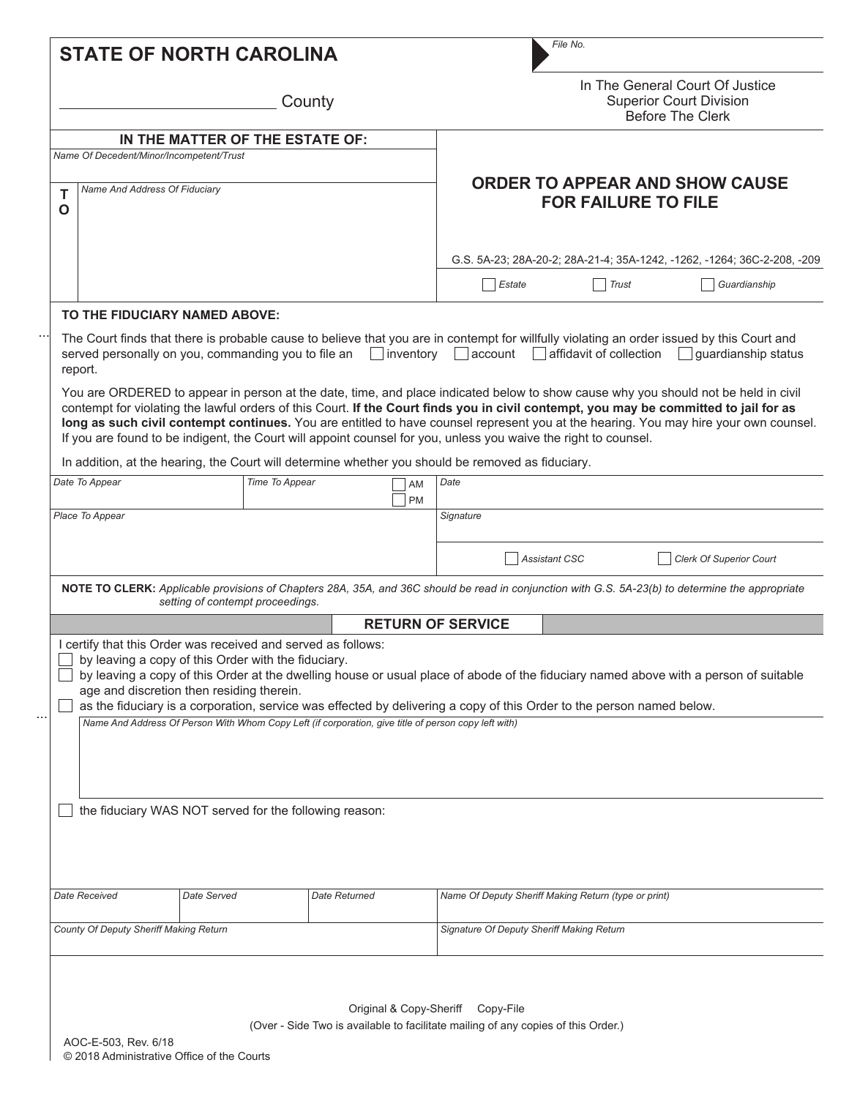| <b>STATE OF NORTH CAROLINA</b>                                                                                                |                                                                                                                                                                                                          |               |                                                                     | File No.                                                                                                               |                                                      |                                                                                                                                                                                                                                                                                                                                                                                                                                                          |  |
|-------------------------------------------------------------------------------------------------------------------------------|----------------------------------------------------------------------------------------------------------------------------------------------------------------------------------------------------------|---------------|---------------------------------------------------------------------|------------------------------------------------------------------------------------------------------------------------|------------------------------------------------------|----------------------------------------------------------------------------------------------------------------------------------------------------------------------------------------------------------------------------------------------------------------------------------------------------------------------------------------------------------------------------------------------------------------------------------------------------------|--|
| County                                                                                                                        |                                                                                                                                                                                                          |               |                                                                     | In The General Court Of Justice<br><b>Superior Court Division</b><br><b>Before The Clerk</b>                           |                                                      |                                                                                                                                                                                                                                                                                                                                                                                                                                                          |  |
|                                                                                                                               | IN THE MATTER OF THE ESTATE OF:                                                                                                                                                                          |               |                                                                     |                                                                                                                        |                                                      |                                                                                                                                                                                                                                                                                                                                                                                                                                                          |  |
| Name Of Decedent/Minor/Incompetent/Trust                                                                                      |                                                                                                                                                                                                          |               |                                                                     |                                                                                                                        |                                                      |                                                                                                                                                                                                                                                                                                                                                                                                                                                          |  |
| Name And Address Of Fiduciary<br>Т<br>$\mathbf O$                                                                             |                                                                                                                                                                                                          |               | <b>ORDER TO APPEAR AND SHOW CAUSE</b><br><b>FOR FAILURE TO FILE</b> |                                                                                                                        |                                                      |                                                                                                                                                                                                                                                                                                                                                                                                                                                          |  |
|                                                                                                                               |                                                                                                                                                                                                          |               |                                                                     |                                                                                                                        |                                                      | G.S. 5A-23; 28A-20-2; 28A-21-4; 35A-1242, -1262, -1264; 36C-2-208, -209                                                                                                                                                                                                                                                                                                                                                                                  |  |
|                                                                                                                               |                                                                                                                                                                                                          |               |                                                                     | Estate                                                                                                                 | <b>Trust</b><br>$\sim$                               | Guardianship                                                                                                                                                                                                                                                                                                                                                                                                                                             |  |
| TO THE FIDUCIARY NAMED ABOVE:                                                                                                 |                                                                                                                                                                                                          |               |                                                                     |                                                                                                                        |                                                      |                                                                                                                                                                                                                                                                                                                                                                                                                                                          |  |
| served personally on you, commanding you to file an $\Box$ inventory $\Box$ account $\Box$ affidavit of collection<br>report. |                                                                                                                                                                                                          |               |                                                                     |                                                                                                                        |                                                      | The Court finds that there is probable cause to believe that you are in contempt for willfully violating an order issued by this Court and<br>$\vert$ guardianship status<br>You are ORDERED to appear in person at the date, time, and place indicated below to show cause why you should not be held in civil<br>contempt for violating the lawful orders of this Court. If the Court finds you in civil contempt, you may be committed to jail for as |  |
| If you are found to be indigent, the Court will appoint counsel for you, unless you waive the right to counsel.               |                                                                                                                                                                                                          |               |                                                                     |                                                                                                                        |                                                      | long as such civil contempt continues. You are entitled to have counsel represent you at the hearing. You may hire your own counsel.                                                                                                                                                                                                                                                                                                                     |  |
| In addition, at the hearing, the Court will determine whether you should be removed as fiduciary.                             |                                                                                                                                                                                                          |               |                                                                     |                                                                                                                        |                                                      |                                                                                                                                                                                                                                                                                                                                                                                                                                                          |  |
| Date To Appear                                                                                                                | Time To Appear                                                                                                                                                                                           |               | AM<br><b>PM</b>                                                     | Date                                                                                                                   |                                                      |                                                                                                                                                                                                                                                                                                                                                                                                                                                          |  |
| Place To Appear                                                                                                               |                                                                                                                                                                                                          |               |                                                                     | Signature                                                                                                              |                                                      |                                                                                                                                                                                                                                                                                                                                                                                                                                                          |  |
|                                                                                                                               |                                                                                                                                                                                                          |               |                                                                     |                                                                                                                        |                                                      |                                                                                                                                                                                                                                                                                                                                                                                                                                                          |  |
|                                                                                                                               |                                                                                                                                                                                                          |               |                                                                     |                                                                                                                        | <b>Assistant CSC</b>                                 | <b>Clerk Of Superior Court</b>                                                                                                                                                                                                                                                                                                                                                                                                                           |  |
|                                                                                                                               | setting of contempt proceedings.                                                                                                                                                                         |               |                                                                     |                                                                                                                        |                                                      | NOTE TO CLERK: Applicable provisions of Chapters 28A, 35A, and 36C should be read in conjunction with G.S. 5A-23(b) to determine the appropriate                                                                                                                                                                                                                                                                                                         |  |
|                                                                                                                               |                                                                                                                                                                                                          |               |                                                                     | <b>RETURN OF SERVICE</b>                                                                                               |                                                      |                                                                                                                                                                                                                                                                                                                                                                                                                                                          |  |
| I certify that this Order was received and served as follows:                                                                 | by leaving a copy of this Order with the fiduciary.<br>age and discretion then residing therein.<br>Name And Address Of Person With Whom Copy Left (if corporation, give title of person copy left with) |               |                                                                     | as the fiduciary is a corporation, service was effected by delivering a copy of this Order to the person named below.  |                                                      | by leaving a copy of this Order at the dwelling house or usual place of abode of the fiduciary named above with a person of suitable                                                                                                                                                                                                                                                                                                                     |  |
|                                                                                                                               |                                                                                                                                                                                                          |               |                                                                     |                                                                                                                        |                                                      |                                                                                                                                                                                                                                                                                                                                                                                                                                                          |  |
|                                                                                                                               | the fiduciary WAS NOT served for the following reason:                                                                                                                                                   |               |                                                                     |                                                                                                                        |                                                      |                                                                                                                                                                                                                                                                                                                                                                                                                                                          |  |
| Date Received                                                                                                                 | Date Served                                                                                                                                                                                              | Date Returned |                                                                     |                                                                                                                        | Name Of Deputy Sheriff Making Return (type or print) |                                                                                                                                                                                                                                                                                                                                                                                                                                                          |  |
| County Of Deputy Sheriff Making Return                                                                                        |                                                                                                                                                                                                          |               |                                                                     | Signature Of Deputy Sheriff Making Return                                                                              |                                                      |                                                                                                                                                                                                                                                                                                                                                                                                                                                          |  |
| AOC-E-503, Rev. 6/18<br>© 2018 Administrative Office of the Courts                                                            |                                                                                                                                                                                                          |               |                                                                     | Original & Copy-Sheriff Copy-File<br>(Over - Side Two is available to facilitate mailing of any copies of this Order.) |                                                      |                                                                                                                                                                                                                                                                                                                                                                                                                                                          |  |